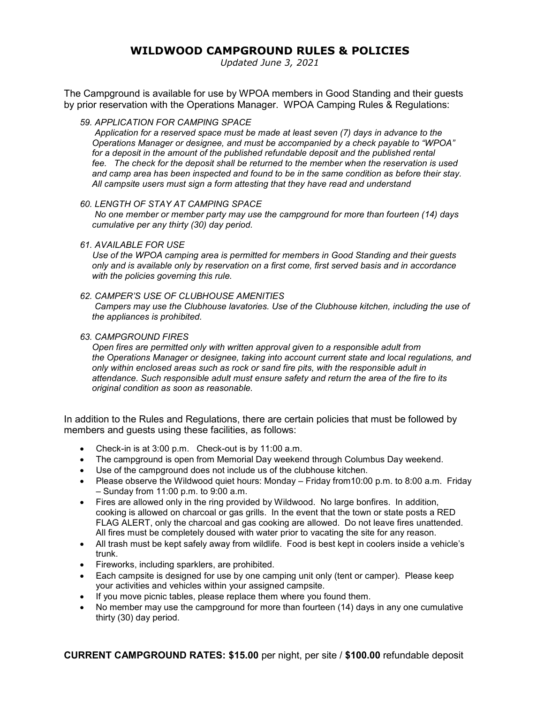## **WILDWOOD CAMPGROUND RULES & POLICIES**

*Updated June 3, 2021*

The Campground is available for use by WPOA members in Good Standing and their guests by prior reservation with the Operations Manager. WPOA Camping Rules & Regulations:

*59. APPLICATION FOR CAMPING SPACE*

 *Application for a reserved space must be made at least seven (7) days in advance to the Operations Manager or designee, and must be accompanied by a check payable to "WPOA"*  for a deposit in the amount of the published refundable deposit and the published rental *fee. The check for the deposit shall be returned to the member when the reservation is used and camp area has been inspected and found to be in the same condition as before their stay. All campsite users must sign a form attesting that they have read and understand*

#### *60. LENGTH OF STAY AT CAMPING SPACE*

 *No one member or member party may use the campground for more than fourteen (14) days cumulative per any thirty (30) day period.*

### *61. AVAILABLE FOR USE*

 *Use of the WPOA camping area is permitted for members in Good Standing and their guests only and is available only by reservation on a first come, first served basis and in accordance with the policies governing this rule.*

#### *62. CAMPER'S USE OF CLUBHOUSE AMENITIES*

 *Campers may use the Clubhouse lavatories. Use of the Clubhouse kitchen, including the use of the appliances is prohibited.*

#### *63. CAMPGROUND FIRES*

*Open fires are permitted only with written approval given to a responsible adult from the Operations Manager or designee, taking into account current state and local regulations, and only within enclosed areas such as rock or sand fire pits, with the responsible adult in attendance. Such responsible adult must ensure safety and return the area of the fire to its original condition as soon as reasonable.*

In addition to the Rules and Regulations, there are certain policies that must be followed by members and guests using these facilities, as follows:

- Check-in is at 3:00 p.m. Check-out is by 11:00 a.m.
- The campground is open from Memorial Day weekend through Columbus Day weekend.
- Use of the campground does not include us of the clubhouse kitchen.
- Please observe the Wildwood quiet hours: Monday Friday from 10:00 p.m. to 8:00 a.m. Friday – Sunday from 11:00 p.m. to 9:00 a.m.
- Fires are allowed only in the ring provided by Wildwood. No large bonfires. In addition, cooking is allowed on charcoal or gas grills. In the event that the town or state posts a RED FLAG ALERT, only the charcoal and gas cooking are allowed. Do not leave fires unattended. All fires must be completely doused with water prior to vacating the site for any reason.
- All trash must be kept safely away from wildlife. Food is best kept in coolers inside a vehicle's trunk.
- Fireworks, including sparklers, are prohibited.
- Each campsite is designed for use by one camping unit only (tent or camper). Please keep your activities and vehicles within your assigned campsite.
- If you move picnic tables, please replace them where you found them.
- No member may use the campground for more than fourteen (14) days in any one cumulative thirty (30) day period.

**CURRENT CAMPGROUND RATES: \$15.00** per night, per site / **\$100.00** refundable deposit